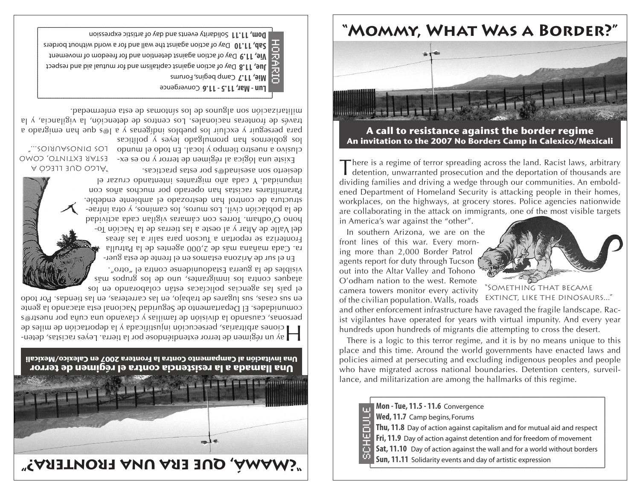## **"Mommy, What Was a Border?"**



## **A call to resistance against the border regime An invitation to the 2007 No Borders Camp in Calexico/Mexicali**

There is a regime of terror spreading across the land. Racist laws, arbitrary detention, unwarranted prosecution and the deportation of thousands are dividing families and driving a wedge through our communities. An emboldened Department of Homeland Security is attacking people in their homes, workplaces, on the highways, at grocery stores. Police agencies nationwide are collaborating in the attack on immigrants, one of the most visible targets

in America's war against the "other".

In southern Arizona, we are on the front lines of this war. Every morning more than 2,000 Border Patrol agents report for duty through Tucson out into the Altar Valley and Tohono O'odham nation to the west. Remote camera towers monitor every activity of the civilian population. Walls, roads



"Something that became extinct, like the dinosaurs..."

and other enforcement infrastructure have ravaged the fragile landscape. Racist vigilantes have operated for years with virtual impunity. And every year hundreds upon hundreds of migrants die attempting to cross the desert.

There is a logic to this terror regime, and it is by no means unique to this place and this time. Around the world governments have enacted laws and policies aimed at persecuting and excluding indigenous peoples and people who have migrated across national boundaries. Detention centers, surveillance, and militarization are among the hallmarks of this regime.

| Mon - Tue, 11.5 - 11.6 Convergence                                        |
|---------------------------------------------------------------------------|
| Wed, 11.7 Camp begins, Forums                                             |
| Thu, 11.8 Day of action against capitalism and for mutual aid and respect |
| Fri, 11.9 Day of action against detention and for freedom of movement     |
| Sat, 11.10 Day of action against the wall and for a world without borders |
| Sun, 11.11 Solidarity events and day of artistic expression               |

**E** Mie, 11.7 Camp begins, Forums Day of action against and provided and for mutual aid and respect Die, 11.9 Day of action against detention and for movement to movement to movement Day of action against the wall and for a world without borders **Sab, 11.10**  Bom, 11.11 Solidarity events and day of artistic expression horario

Lun - Mar, 11.5 - 11.6 Convergence

los gobiernos han promulgado leyes y políticas para perseguir y excluir los pueblos indígenas y a l@s que han emigrado a través de fronteras nacionales. Los centros de detención, la vigilancia, y la militarización son algnuoz de los sóntomas de esta enternadad.

clusivo a nuestro tiempo y local. En todo el mundo - Los pruosAURI0s..."

Existe una lógica al régimen de terror y no es ex- ESTAR EXTINTO, COMO

"Algo que llegó a

ra. Cada mañana más de 2,000 agentes de la Patrulla Fronteriza se reportan a Tucson para salir a las áreas - del Valle de Altar y al oeste a las tierras de la Nación To hono O'odham. Torres con cámaras vigilan cada actividad - de la población civil. Los muros, los caminos, y otra infrae structura de control han destrozado el ambiente. Paramilitares racistas han operado por muchos anos con impunidad. Y cada año migrantes intentando cruzar el desierto son asesinad@s por estas practicas.

el país las agencias policiacas están colaborando en los atam sodnua soj ap oun 'sauveralour soj enjudo sanbere visibles de la guerra Estadounidense contra el "otro". - En el sur de Arizona estamos en el frente de esta guer

 $\parallel$  a) un regimen de terror extendiendose por la tierra. Leyes racistas, detenciones arbitrarias, persecución injustificada y la deportación de miles de personas, causando la división de familias y clavando una cuña por nuestr@s comunidades. El Departamento de Seguridad Nacional esta atacando la gente en sus casas, sus lugares de trabajo, en las carreteras, en las tiendas. Por todo

**Una llamada a la resistencia contra el régimen de terror Una invitación al Campamento Contra la Frontera 2007 en Calexico/Mexicali**

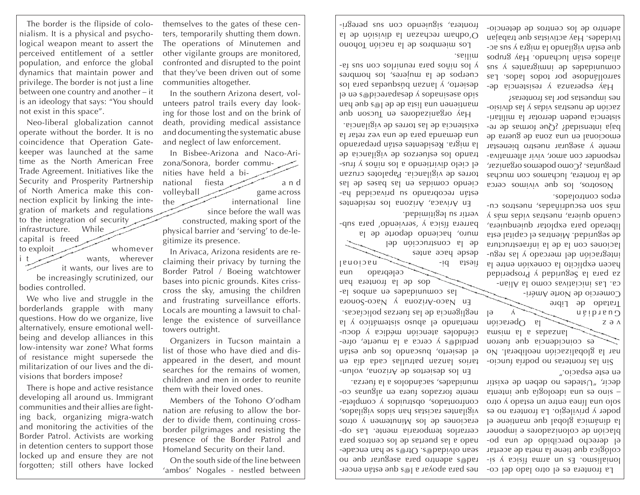The border is the flipside of colonialism. It is a physical and psychological weapon meant to assert the perceived entitlement of a settler population, and enforce the global dynamics that maintain power and privilege. The border is not just a line between one country and another – it is an ideology that says: "You should not exist in this space".

Neo-liberal globalization cannot operate without the border. It is no coincidence that Operation Gatekeeper was launched at the same time as the North American Free Trade Agreement. Initiatives like the Security and Prosperity Partnership of North America make this connection explicit by linking the integration of markets and regulations to the integration of security infrastructure. While capital is freed

to exploit whomever i t it wants, our lives are to be increasingly scrutinized, our bodies controlled.

We who live and struggle in the borderlands grapple with many questions. How do we organize, live alternatively, ensure emotional wellbeing and develop alliances in this low-intensity war zone? What forms of resistance might supersede the militarization of our lives and the divisions that borders impose?

There is hope and active resistance developing all around us. Immigrant communities and their allies are fighting back, organizing migra-watch and monitoring the activities of the Border Patrol. Activists are working in detention centers to support those locked up and ensure they are not<br>forgotten; still others have locked

themselves to the gates of these cen-  $\vert$  -ull-sused sns uoo opuəinlis 'enətuont allo detencional persontros operational per ters, temporarily shutting them down. The operations of Minutemen and other vigilante groups are monitored, confronted and disrupted to the point that they've been driven out of some communities altogether.

In the southern Arizona desert, volunteers patrol trails every day looking for those lost and on the brink of death, providing medical assistance and documenting the systematic abuse and neglect of law enforcement.

In Bisbee-Arizona and Naco-Arizona/Sonora, border communities have held a binational fiesta and volleyball game across the international line since before the wall was

constructed, making sport of the physical barrier and 'serving' to de-legitimize its presence.

In Arivaca, Arizona residents are reclaiming their privacy by turning the Border Patrol / Boeing watchtower bases into picnic grounds. Kites crisscross the sky, amusing the children and frustrating surveillance efforts. Locals are mounting a lawsuit to challenge the existence of surveillance towers outright.

Organizers in Tucson maintain a list of those who have died and disappeared in the desert, and mount searches for the remains of women, children and men in order to reunite them with their loved ones.

Members of the Tohono O'odham nation are refusing to allow the border to divide them, continuing crossborder pilgrimages and resisting the presence of the Border Patrol and Homeland Security on their land.

On the south side of the line between 'ambos' Nogales - nestled between

La frontera es el otro lado del co- nes para apoyar a l@s que estan encerrad@s adentro para asegurar que no sean olvidado. Otr@s se han encadenado a las puertas de los centros para cerrarlos temporaria mente. Las operaciones de los minutemen y otros vigilantes racistas han sidos vigilados, confrontados, opstruidos y completamente forzados fuera en algunas co-

tarios lanzan patrullas cada en una el desierto, buscando los que estan berdid@s  $\lambda$  cerca a la muerte, ofreciéndoles atención médica y docu $e$ l  $\Lambda$  obusticando sistemático y la negligencia de las fuerzas policíacas. En Naco-Arizona y Naco-Sonora -el sodme de sebeplunmos sel

 $\sim$  -id steelt

En Arivaca, Arizona los residentes están recobrando su privacidad haciendo comidas en las bases de las torres de vigilancia. Papalotes cruzan el cielo divirtiendo a los niños y trustrando los esfuerzos de vigilancia de la migra. Residentes están preparando una demanda para de una vez retar la existencia de las torres de vigilancia. Hay organizadores en Iucson que  $\alpha$ uey ənb s $\omega$ l əp əp etsil eun uəuəntuem  $\theta$ ia ua s $\omega$ pioaredesap  $\lambda$  sopeuisase opis soj e. ed sepanbsng uezuej  $\lambda$  'oualsap cnetbos de la mujeres, los hombres -et aus nos politicias reunirlos con sus fa-

Fos miembros de la nacion lopono O'odham rechazan la división de la

muro, haciendo deporte de la barrera física y 'serviendo' para sub-

desde hace antes

vertir su legitimidad.

milias.

de la construcción del

dos de la frontera han

celeprado una

munidades, sacándolos a la fuerza. Fu los desieutos de Arizona, volun-

 $-$  lonialismo. Es un arma física y sicológica que tiene la meta de acertar el derecho percibido de una población de colonizadores e imponer la dinámica global que mantiene el poder y privilegio. La frontera no es solo una linea entre un eztado y otro – sino es una ideología que intenta decir, "Ustedes no deben de existir en este espacio."

Sin las fronteras no podría funcionar la globalización neoliberal. No es coincidencia dne tueron ewsim el e sepezuel  $N \geq 0$  beración v e z e v  $P = \sqrt{2\pi}$  distribution Tratado de Libre

Comercio de Norte Améri-

ca. Las iniciativas como la Alianza bara la Seguridad y Prosperidad hacen explícito la conexión entre la integración del mercado y las regulaciones con la de la infraestructura de seguridad. Mientras el capital esta liberado para explotar quienquiera,  $\lambda$  sem sepi $\lambda$  seusonualization between -no son escudrinadas, especialadas cuerpos controlados.

Nosotros, los que vivimos cerca de la frontera, luchamos con muchas preguntas. ¿Como podemos organizar, responder con amor, vivir alternativamente y asegurar nuestro bienestar emocional en una zona de guerra de baja intensidad; ¿Que formas de re-- sistencia pueden derrotar la militari zacion de nuestras vidas y las dividas en nes impuestas por las fronteras?

Hay esperanza y resistencia desarrollándose por todos lados. Las  $\sin \theta$  saquergimuni ap sapepiunmos aliados están luchando. Hay grupos - que están vigilando la migra y sus ac tividades. Hay activistas que trabajan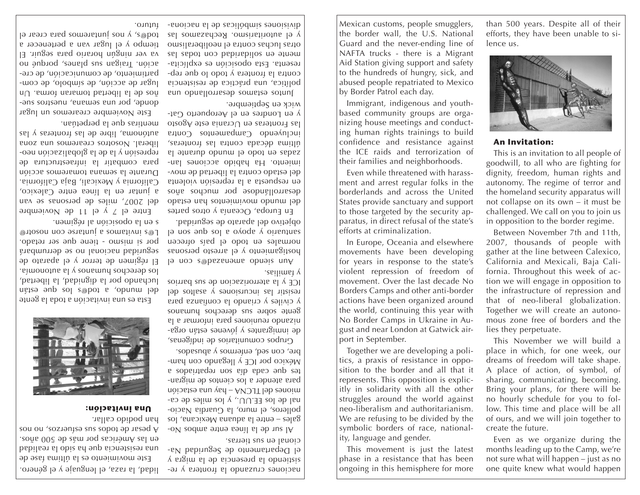This movement is just the latest phase in a resistance that has been  $\alpha$  ongoing in this hemisphere for more  $\alpha$  and  $\alpha$  is a longoing in this hemisphere for more one and the knew what would happen  $\alpha$  and  $\alpha$  ranged in this hemisphere for more and quite knew what would happen lidear to report that would happen

ity, language and gender.

months leading up to the Camp, we're not sure what will happen – just as no

Together we are developing a politics, a praxis of resistance in opposition to the border and all that it represents. This opposition is explicitly in solidarity with all the other struggles around the world against neo-liberalism and authoritarianism. We are refusing to be divided by the symbolic borders of race, national-

gust and near London at Gatwick airport in September. no hourly schedule for you to follow. This time and place will be all of ours, and we will join together to create the future.

movement. Over the last decade No Borders Camps and other anti-border actions have been organized around the world, continuing this year with No Border Camps in Ukraine in Aution we will engage in opposition to the infrastructure of repression and that of neo-liberal globalization. Together we will create an autonomous zone free of borders and the lies they perpetuate. This November we will build a place in which, for one week, our dreams of freedom will take shape. A place of action, of symbol, of sharing, communicating, becoming. Bring your plans, for there will be

efforts, they have been unable to si-

This is an invitation to all people of goodwill, to all who are fighting for dignity, freedom, human rights and autonomy. The regime of terror and the homeland security apparatus will not collapse on its own – it must be challenged. We call on you to join us in opposition to the border regime.

Between November 7th and 11th, 2007, thousands of people with gather at the line between Calexico, California and Mexicali, Baja California. Throughout this week of ac-

Even as we organize during the



**An Invitation:**

Guard and the never-ending line of NAFTA trucks - there is a Migrant Aid Station giving support and safety to the hundreds of hungry, sick, and abused people repatriated to Mexico by Border Patrol each day. Immigrant, indigenous and youthlence us.

Mexican customs, people smugglers, the border wall, the U.S. National

based community groups are organizing house meetings and conducting human rights trainings to build confidence and resistance against the ICE raids and terrorization of their families and neighborhoods. Even while threatened with harassment and arrest regular folks in the borderlands and across the United States provide sanctuary and support to those targeted by the security apparatus, in direct refusal of the state's

efforts at criminalization.

In Europe, Oceania and elsewhere movements have been developing for years in response to the state's violent repression of freedom of

Puntos estamos despituir esta poste una estaba política, una práctica de resistencia contra la frontera y todo lo que representa. Esta oposición es explícitamente en solidaridad con todas las otras luchas contra el neoliberalismo y el autoritarismo. Rechazamos las - euology equal than 500 years. Despite all of their  $\vert$  Mexican customs, people smugglers, than 500 years. Despite all of their

En Europa, Oceania y otros partes opessa ueu sotuaimivom opunu lap desarrollándose por muchos años en respuesta a la represión violenta - del estado contra la libertad de mov imiento. Ha habido acciones lanza en todo el mundo durante la última década contra las fronteras, incluyendo Campamentos Contra las Fronteras en Ucrania este Agosto - y en Londres en el Aeropuerto Gat

le noo a®bassnems obneis nuA hostigamiento y el arresto personas normales en todo el país ofrecen  $\alpha$  uos anb so $\alpha$  e o $\alpha$ de  $\alpha$  ouenues objetivo del aparato de seguridad.

sistiendo la presencia de la migra y el Departamento de Seguridad Na-

 $-N$  soque antre suppose Nogales – entre la aduana Mexicana, los bolleros, el muro, la Guardia Nacional de los EE.UU., y los miles de camiones del TCNA – hay una estación para atender a los cientos de migrantes que cada pios and repatriados a México por ICE y llegando con hambre, con sed, enfermos y abusados. Grupos comunitarios de indígenas,  $-e$ ge inmigrantes  $\wedge$  jovenes estan organizando reuniones para informar a la gente sobre sus derechos pumanos y civiles y criando la confianza para resistir las incursiones y asaltos del ICE y la aterrorizacion de sus barrios

cional en sus tierras.

y familias.

wick en Septiembre. futuro.



Este movimiento es la última fase de una resistencia que ha sido la realidad en las Américas por más de 500 años. A pesar de todos sus esfuerzos, no nos

han podido callar. **Una invitación:**

Esta es una invitación a toda la gente delse and sol estable a copunul lap luchando por la dignidad, la libertad, los derechos humanos y la autonomía. El régimen de terror y el aparato de seguridad nacional no se derrumbará por si mismo - tiene que ser retado. L@s invitamos a juntarse con nosotr@ s en la oposición al regimen.

Entre el 7 y el 11 de Noviembre del 2007, miles de personas se van a juntar en la línea entre Calexico, California y Mexicali, Baja California. Durante la semana tomaremos acción para combatir la infraestructura de rebresión y la de la globalización neoliberal. Nosotros crearemos una zona autónoma, libre de las fronteras y las mentiras que la perpetúan.

Este Noviembre crearemos un lugar qouqe' bot nun semana, 'euestros sueños de la libertad tomaran forma. Un - lugar de acción, de símbolo, de com bartimiento, de comunicación, de creación. Iraigan sus planes, porque no va ver ningún horario para seguir. El tiempo y el lugar van a pertenecer a tod $\mathfrak{g}_2$ , y nos juntaremos bara crear el